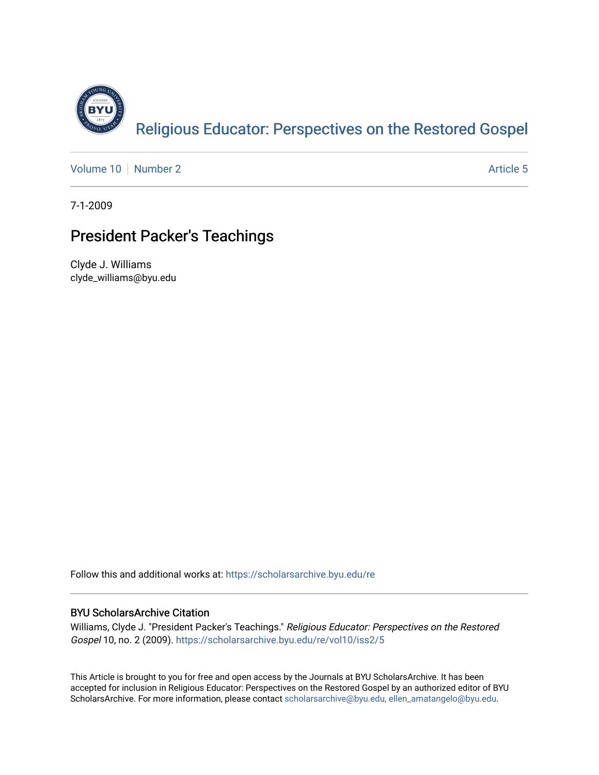

[Volume 10](https://scholarsarchive.byu.edu/re/vol10) [Number 2](https://scholarsarchive.byu.edu/re/vol10/iss2) Article 5

7-1-2009

# President Packer's Teachings

Clyde J. Williams clyde\_williams@byu.edu

Follow this and additional works at: [https://scholarsarchive.byu.edu/re](https://scholarsarchive.byu.edu/re?utm_source=scholarsarchive.byu.edu%2Fre%2Fvol10%2Fiss2%2F5&utm_medium=PDF&utm_campaign=PDFCoverPages)

## BYU ScholarsArchive Citation

Williams, Clyde J. "President Packer's Teachings." Religious Educator: Perspectives on the Restored Gospel 10, no. 2 (2009). [https://scholarsarchive.byu.edu/re/vol10/iss2/5](https://scholarsarchive.byu.edu/re/vol10/iss2/5?utm_source=scholarsarchive.byu.edu%2Fre%2Fvol10%2Fiss2%2F5&utm_medium=PDF&utm_campaign=PDFCoverPages)

This Article is brought to you for free and open access by the Journals at BYU ScholarsArchive. It has been accepted for inclusion in Religious Educator: Perspectives on the Restored Gospel by an authorized editor of BYU ScholarsArchive. For more information, please contact [scholarsarchive@byu.edu, ellen\\_amatangelo@byu.edu.](mailto:scholarsarchive@byu.edu,%20ellen_amatangelo@byu.edu)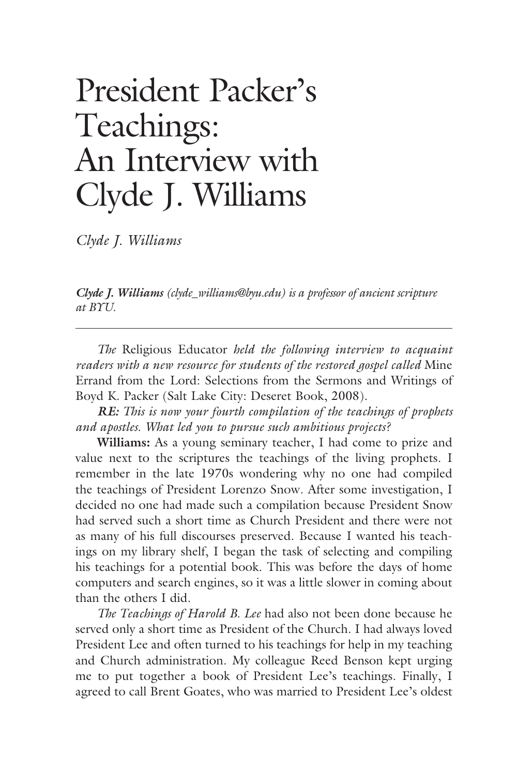# President Packer's Teachings: An Interview with Clyde J. Williams

*Clyde J. Williams*

*Clyde J. Williams (clyde\_williams@byu.edu) is a professor of ancient scripture at BYU.*

*The* Religious Educator *held the following interview to acquaint readers with a new resource for students of the restored gospel called* Mine Errand from the Lord: Selections from the Sermons and Writings of Boyd K. Packer (Salt Lake City: Deseret Book, 2008)*.*

*RE: This is now your fourth compilation of the teachings of prophets and apostles. What led you to pursue such ambitious projects?* 

**Williams:** As a young seminary teacher, I had come to prize and value next to the scriptures the teachings of the living prophets. I remember in the late 1970s wondering why no one had compiled the teachings of President Lorenzo Snow. After some investigation, I decided no one had made such a compilation because President Snow had served such a short time as Church President and there were not as many of his full discourses preserved. Because I wanted his teachings on my library shelf, I began the task of selecting and compiling his teachings for a potential book. This was before the days of home computers and search engines, so it was a little slower in coming about than the others I did.

*The Teachings of Harold B. Lee* had also not been done because he served only a short time as President of the Church. I had always loved President Lee and often turned to his teachings for help in my teaching and Church administration. My colleague Reed Benson kept urging me to put together a book of President Lee's teachings. Finally, I agreed to call Brent Goates, who was married to President Lee's oldest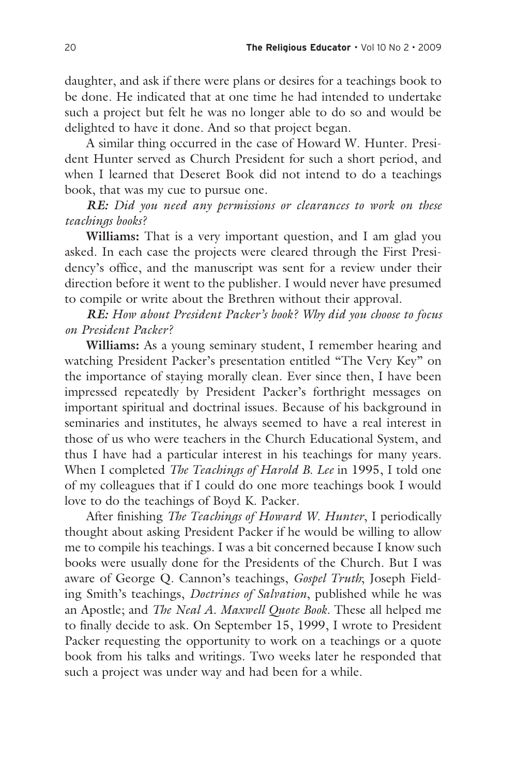daughter, and ask if there were plans or desires for a teachings book to be done. He indicated that at one time he had intended to undertake such a project but felt he was no longer able to do so and would be delighted to have it done. And so that project began.

A similar thing occurred in the case of Howard W. Hunter. President Hunter served as Church President for such a short period, and when I learned that Deseret Book did not intend to do a teachings book, that was my cue to pursue one.

*RE: Did you need any permissions or clearances to work on these teachings books?* 

**Williams:** That is a very important question, and I am glad you asked. In each case the projects were cleared through the First Presidency's office, and the manuscript was sent for a review under their direction before it went to the publisher. I would never have presumed to compile or write about the Brethren without their approval.

*RE: How about President Packer's book? Why did you choose to focus on President Packer?* 

**Williams:** As a young seminary student, I remember hearing and watching President Packer's presentation entitled "The Very Key" on the importance of staying morally clean. Ever since then, I have been impressed repeatedly by President Packer's forthright messages on important spiritual and doctrinal issues. Because of his background in seminaries and institutes, he always seemed to have a real interest in those of us who were teachers in the Church Educational System, and thus I have had a particular interest in his teachings for many years. When I completed *The Teachings of Harold B. Lee* in 1995, I told one of my colleagues that if I could do one more teachings book I would love to do the teachings of Boyd K. Packer.

After finishing *The Teachings of Howard W. Hunter*, I periodically thought about asking President Packer if he would be willing to allow me to compile his teachings. I was a bit concerned because I know such books were usually done for the Presidents of the Church. But I was aware of George Q. Cannon's teachings, *Gospel Truth*; Joseph Fielding Smith's teachings, *Doctrines of Salvation*, published while he was an Apostle; and *The Neal A. Maxwell Quote Book*. These all helped me to finally decide to ask. On September 15, 1999, I wrote to President Packer requesting the opportunity to work on a teachings or a quote book from his talks and writings. Two weeks later he responded that such a project was under way and had been for a while.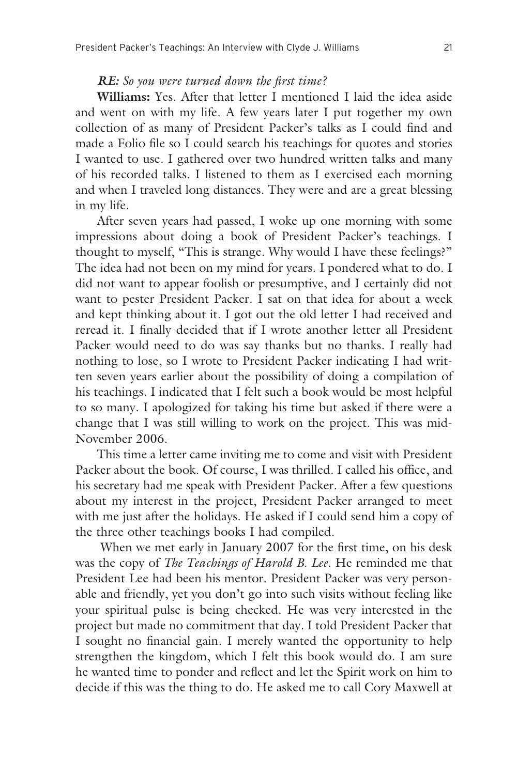#### *RE: So you were turned down the first time?*

**Williams:** Yes. After that letter I mentioned I laid the idea aside and went on with my life. A few years later I put together my own collection of as many of President Packer's talks as I could find and made a Folio file so I could search his teachings for quotes and stories I wanted to use. I gathered over two hundred written talks and many of his recorded talks. I listened to them as I exercised each morning and when I traveled long distances. They were and are a great blessing in my life.

After seven years had passed, I woke up one morning with some impressions about doing a book of President Packer's teachings. I thought to myself, "This is strange. Why would I have these feelings?" The idea had not been on my mind for years. I pondered what to do. I did not want to appear foolish or presumptive, and I certainly did not want to pester President Packer. I sat on that idea for about a week and kept thinking about it. I got out the old letter I had received and reread it. I finally decided that if I wrote another letter all President Packer would need to do was say thanks but no thanks. I really had nothing to lose, so I wrote to President Packer indicating I had written seven years earlier about the possibility of doing a compilation of his teachings. I indicated that I felt such a book would be most helpful to so many. I apologized for taking his time but asked if there were a change that I was still willing to work on the project. This was mid-November 2006.

This time a letter came inviting me to come and visit with President Packer about the book. Of course, I was thrilled. I called his office, and his secretary had me speak with President Packer. After a few questions about my interest in the project, President Packer arranged to meet with me just after the holidays. He asked if I could send him a copy of the three other teachings books I had compiled.

 When we met early in January 2007 for the first time, on his desk was the copy of *The Teachings of Harold B. Lee*. He reminded me that President Lee had been his mentor. President Packer was very personable and friendly, yet you don't go into such visits without feeling like your spiritual pulse is being checked. He was very interested in the project but made no commitment that day. I told President Packer that I sought no financial gain. I merely wanted the opportunity to help strengthen the kingdom, which I felt this book would do. I am sure he wanted time to ponder and reflect and let the Spirit work on him to decide if this was the thing to do. He asked me to call Cory Maxwell at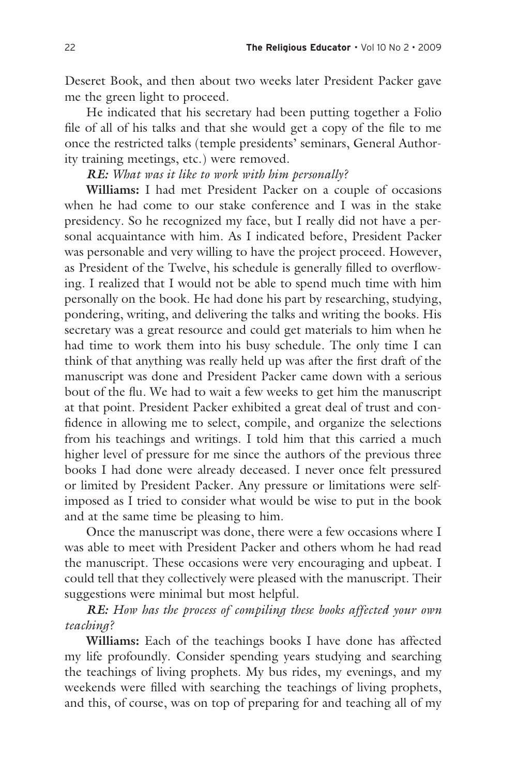Deseret Book, and then about two weeks later President Packer gave me the green light to proceed.

He indicated that his secretary had been putting together a Folio file of all of his talks and that she would get a copy of the file to me once the restricted talks (temple presidents' seminars, General Authority training meetings, etc.) were removed.

#### *RE: What was it like to work with him personally?*

**Williams:** I had met President Packer on a couple of occasions when he had come to our stake conference and I was in the stake presidency. So he recognized my face, but I really did not have a personal acquaintance with him. As I indicated before, President Packer was personable and very willing to have the project proceed. However, as President of the Twelve, his schedule is generally filled to overflowing. I realized that I would not be able to spend much time with him personally on the book. He had done his part by researching, studying, pondering, writing, and delivering the talks and writing the books. His secretary was a great resource and could get materials to him when he had time to work them into his busy schedule. The only time I can think of that anything was really held up was after the first draft of the manuscript was done and President Packer came down with a serious bout of the flu. We had to wait a few weeks to get him the manuscript at that point. President Packer exhibited a great deal of trust and confidence in allowing me to select, compile, and organize the selections from his teachings and writings. I told him that this carried a much higher level of pressure for me since the authors of the previous three books I had done were already deceased. I never once felt pressured or limited by President Packer. Any pressure or limitations were selfimposed as I tried to consider what would be wise to put in the book and at the same time be pleasing to him.

Once the manuscript was done, there were a few occasions where I was able to meet with President Packer and others whom he had read the manuscript. These occasions were very encouraging and upbeat. I could tell that they collectively were pleased with the manuscript. Their suggestions were minimal but most helpful.

*RE: How has the process of compiling these books affected your own teaching?*

**Williams:** Each of the teachings books I have done has affected my life profoundly. Consider spending years studying and searching the teachings of living prophets. My bus rides, my evenings, and my weekends were filled with searching the teachings of living prophets, and this, of course, was on top of preparing for and teaching all of my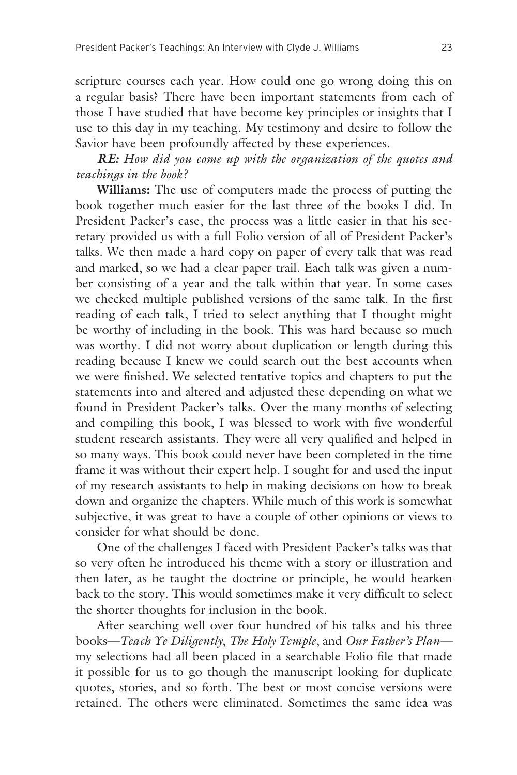scripture courses each year. How could one go wrong doing this on a regular basis? There have been important statements from each of those I have studied that have become key principles or insights that I use to this day in my teaching. My testimony and desire to follow the Savior have been profoundly affected by these experiences.

## *RE: How did you come up with the organization of the quotes and teachings in the book?*

**Williams:** The use of computers made the process of putting the book together much easier for the last three of the books I did. In President Packer's case, the process was a little easier in that his secretary provided us with a full Folio version of all of President Packer's talks. We then made a hard copy on paper of every talk that was read and marked, so we had a clear paper trail. Each talk was given a number consisting of a year and the talk within that year. In some cases we checked multiple published versions of the same talk. In the first reading of each talk, I tried to select anything that I thought might be worthy of including in the book. This was hard because so much was worthy. I did not worry about duplication or length during this reading because I knew we could search out the best accounts when we were finished. We selected tentative topics and chapters to put the statements into and altered and adjusted these depending on what we found in President Packer's talks. Over the many months of selecting and compiling this book, I was blessed to work with five wonderful student research assistants. They were all very qualified and helped in so many ways. This book could never have been completed in the time frame it was without their expert help. I sought for and used the input of my research assistants to help in making decisions on how to break down and organize the chapters. While much of this work is somewhat subjective, it was great to have a couple of other opinions or views to consider for what should be done.

One of the challenges I faced with President Packer's talks was that so very often he introduced his theme with a story or illustration and then later, as he taught the doctrine or principle, he would hearken back to the story. This would sometimes make it very difficult to select the shorter thoughts for inclusion in the book.

After searching well over four hundred of his talks and his three books—*Teach Ye Diligently*, *The Holy Temple*, and *Our Father's Plan* my selections had all been placed in a searchable Folio file that made it possible for us to go though the manuscript looking for duplicate quotes, stories, and so forth. The best or most concise versions were retained. The others were eliminated. Sometimes the same idea was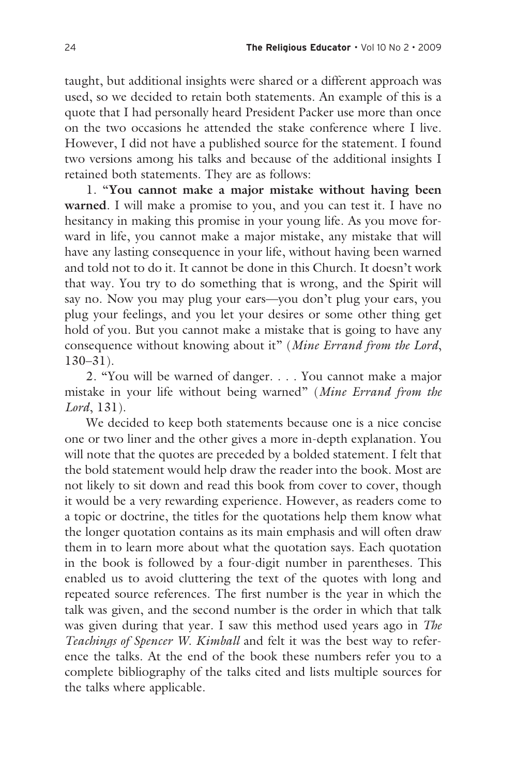taught, but additional insights were shared or a different approach was used, so we decided to retain both statements. An example of this is a quote that I had personally heard President Packer use more than once on the two occasions he attended the stake conference where I live. However, I did not have a published source for the statement. I found two versions among his talks and because of the additional insights I retained both statements. They are as follows:

1. "**You cannot make a major mistake without having been warned**. I will make a promise to you, and you can test it. I have no hesitancy in making this promise in your young life. As you move forward in life, you cannot make a major mistake, any mistake that will have any lasting consequence in your life, without having been warned and told not to do it. It cannot be done in this Church. It doesn't work that way. You try to do something that is wrong, and the Spirit will say no. Now you may plug your ears—you don't plug your ears, you plug your feelings, and you let your desires or some other thing get hold of you. But you cannot make a mistake that is going to have any consequence without knowing about it" (*Mine Errand from the Lord*, 130–31).

2. "You will be warned of danger. . . . You cannot make a major mistake in your life without being warned" (*Mine Errand from the Lord*, 131).

We decided to keep both statements because one is a nice concise one or two liner and the other gives a more in-depth explanation. You will note that the quotes are preceded by a bolded statement. I felt that the bold statement would help draw the reader into the book. Most are not likely to sit down and read this book from cover to cover, though it would be a very rewarding experience. However, as readers come to a topic or doctrine, the titles for the quotations help them know what the longer quotation contains as its main emphasis and will often draw them in to learn more about what the quotation says. Each quotation in the book is followed by a four-digit number in parentheses. This enabled us to avoid cluttering the text of the quotes with long and repeated source references. The first number is the year in which the talk was given, and the second number is the order in which that talk was given during that year. I saw this method used years ago in *The Teachings of Spencer W. Kimball* and felt it was the best way to reference the talks. At the end of the book these numbers refer you to a complete bibliography of the talks cited and lists multiple sources for the talks where applicable.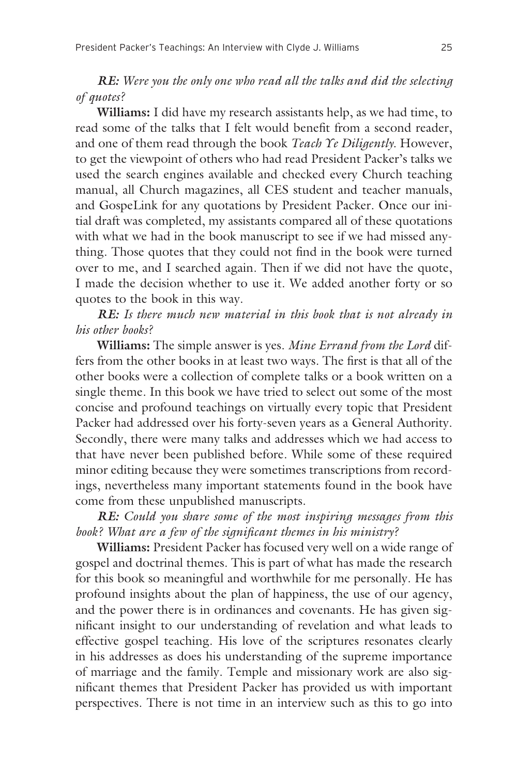*RE: Were you the only one who read all the talks and did the selecting of quotes?*

**Williams:** I did have my research assistants help, as we had time, to read some of the talks that I felt would benefit from a second reader, and one of them read through the book *Teach Ye Diligently*. However, to get the viewpoint of others who had read President Packer's talks we used the search engines available and checked every Church teaching manual, all Church magazines, all CES student and teacher manuals, and GospeLink for any quotations by President Packer. Once our initial draft was completed, my assistants compared all of these quotations with what we had in the book manuscript to see if we had missed anything. Those quotes that they could not find in the book were turned over to me, and I searched again. Then if we did not have the quote, I made the decision whether to use it. We added another forty or so quotes to the book in this way.

*RE: Is there much new material in this book that is not already in his other books?*

**Williams:** The simple answer is yes. *Mine Errand from the Lord* differs from the other books in at least two ways. The first is that all of the other books were a collection of complete talks or a book written on a single theme. In this book we have tried to select out some of the most concise and profound teachings on virtually every topic that President Packer had addressed over his forty-seven years as a General Authority. Secondly, there were many talks and addresses which we had access to that have never been published before. While some of these required minor editing because they were sometimes transcriptions from recordings, nevertheless many important statements found in the book have come from these unpublished manuscripts.

*RE: Could you share some of the most inspiring messages from this book? What are a few of the significant themes in his ministry?*

**Williams:** President Packer has focused very well on a wide range of gospel and doctrinal themes. This is part of what has made the research for this book so meaningful and worthwhile for me personally. He has profound insights about the plan of happiness, the use of our agency, and the power there is in ordinances and covenants. He has given significant insight to our understanding of revelation and what leads to effective gospel teaching. His love of the scriptures resonates clearly in his addresses as does his understanding of the supreme importance of marriage and the family. Temple and missionary work are also significant themes that President Packer has provided us with important perspectives. There is not time in an interview such as this to go into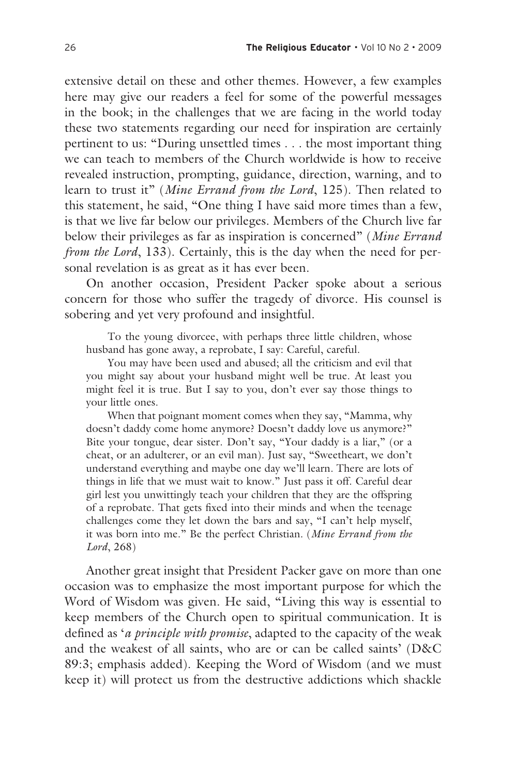extensive detail on these and other themes. However, a few examples here may give our readers a feel for some of the powerful messages in the book; in the challenges that we are facing in the world today these two statements regarding our need for inspiration are certainly pertinent to us: "During unsettled times . . . the most important thing we can teach to members of the Church worldwide is how to receive revealed instruction, prompting, guidance, direction, warning, and to learn to trust it" (*Mine Errand from the Lord*, 125). Then related to this statement, he said, "One thing I have said more times than a few, is that we live far below our privileges. Members of the Church live far below their privileges as far as inspiration is concerned" (*Mine Errand from the Lord*, 133). Certainly, this is the day when the need for personal revelation is as great as it has ever been.

On another occasion, President Packer spoke about a serious concern for those who suffer the tragedy of divorce. His counsel is sobering and yet very profound and insightful.

To the young divorcee, with perhaps three little children, whose husband has gone away, a reprobate, I say: Careful, careful.

You may have been used and abused; all the criticism and evil that you might say about your husband might well be true. At least you might feel it is true. But I say to you, don't ever say those things to your little ones.

When that poignant moment comes when they say, "Mamma, why doesn't daddy come home anymore? Doesn't daddy love us anymore?" Bite your tongue, dear sister. Don't say, "Your daddy is a liar," (or a cheat, or an adulterer, or an evil man). Just say, "Sweetheart, we don't understand everything and maybe one day we'll learn. There are lots of things in life that we must wait to know." Just pass it off. Careful dear girl lest you unwittingly teach your children that they are the offspring of a reprobate. That gets fixed into their minds and when the teenage challenges come they let down the bars and say, "I can't help myself, it was born into me." Be the perfect Christian. (*Mine Errand from the Lord*, 268)

Another great insight that President Packer gave on more than one occasion was to emphasize the most important purpose for which the Word of Wisdom was given. He said, "Living this way is essential to keep members of the Church open to spiritual communication. It is defined as '*a principle with promise*, adapted to the capacity of the weak and the weakest of all saints, who are or can be called saints' (D&C 89:3; emphasis added). Keeping the Word of Wisdom (and we must keep it) will protect us from the destructive addictions which shackle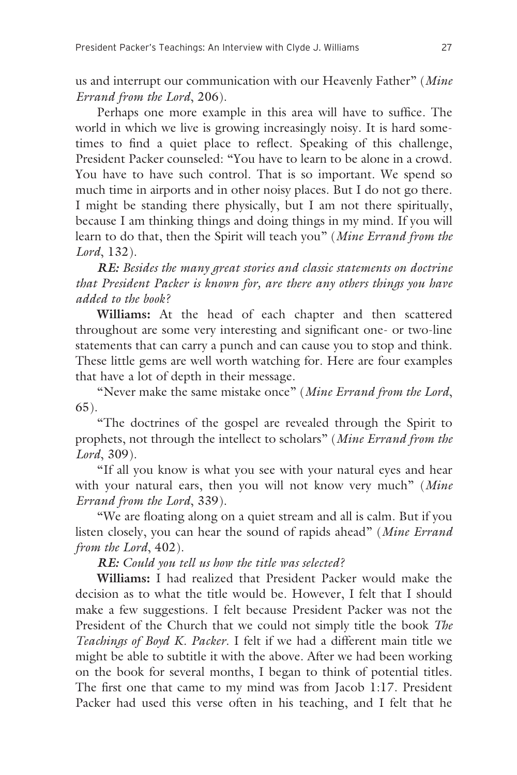us and interrupt our communication with our Heavenly Father" (*Mine Errand from the Lord*, 206).

Perhaps one more example in this area will have to suffice. The world in which we live is growing increasingly noisy. It is hard sometimes to find a quiet place to reflect. Speaking of this challenge, President Packer counseled: "You have to learn to be alone in a crowd. You have to have such control. That is so important. We spend so much time in airports and in other noisy places. But I do not go there. I might be standing there physically, but I am not there spiritually, because I am thinking things and doing things in my mind. If you will learn to do that, then the Spirit will teach you" (*Mine Errand from the Lord*, 132).

*RE: Besides the many great stories and classic statements on doctrine that President Packer is known for, are there any others things you have added to the book?* 

**Williams:** At the head of each chapter and then scattered throughout are some very interesting and significant one- or two-line statements that can carry a punch and can cause you to stop and think. These little gems are well worth watching for. Here are four examples that have a lot of depth in their message.

"Never make the same mistake once" (*Mine Errand from the Lord*, 65).

"The doctrines of the gospel are revealed through the Spirit to prophets, not through the intellect to scholars" (*Mine Errand from the Lord*, 309).

"If all you know is what you see with your natural eyes and hear with your natural ears, then you will not know very much" (*Mine Errand from the Lord*, 339).

"We are floating along on a quiet stream and all is calm. But if you listen closely, you can hear the sound of rapids ahead" (*Mine Errand from the Lord*, 402).

*RE: Could you tell us how the title was selected?* 

**Williams:** I had realized that President Packer would make the decision as to what the title would be. However, I felt that I should make a few suggestions. I felt because President Packer was not the President of the Church that we could not simply title the book *The Teachings of Boyd K. Packer*. I felt if we had a different main title we might be able to subtitle it with the above. After we had been working on the book for several months, I began to think of potential titles. The first one that came to my mind was from Jacob 1:17. President Packer had used this verse often in his teaching, and I felt that he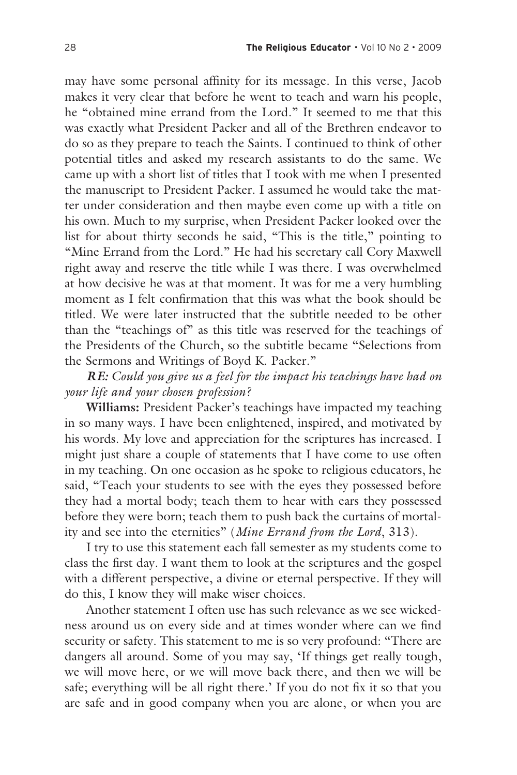may have some personal affinity for its message. In this verse, Jacob makes it very clear that before he went to teach and warn his people, he "obtained mine errand from the Lord." It seemed to me that this was exactly what President Packer and all of the Brethren endeavor to do so as they prepare to teach the Saints. I continued to think of other potential titles and asked my research assistants to do the same. We came up with a short list of titles that I took with me when I presented the manuscript to President Packer. I assumed he would take the matter under consideration and then maybe even come up with a title on his own. Much to my surprise, when President Packer looked over the list for about thirty seconds he said, "This is the title," pointing to "Mine Errand from the Lord." He had his secretary call Cory Maxwell right away and reserve the title while I was there. I was overwhelmed at how decisive he was at that moment. It was for me a very humbling moment as I felt confirmation that this was what the book should be titled. We were later instructed that the subtitle needed to be other than the "teachings of" as this title was reserved for the teachings of the Presidents of the Church, so the subtitle became "Selections from the Sermons and Writings of Boyd K. Packer."

*RE: Could you give us a feel for the impact his teachings have had on your life and your chosen profession?* 

**Williams:** President Packer's teachings have impacted my teaching in so many ways. I have been enlightened, inspired, and motivated by his words. My love and appreciation for the scriptures has increased. I might just share a couple of statements that I have come to use often in my teaching. On one occasion as he spoke to religious educators, he said, "Teach your students to see with the eyes they possessed before they had a mortal body; teach them to hear with ears they possessed before they were born; teach them to push back the curtains of mortality and see into the eternities" (*Mine Errand from the Lord*, 313).

I try to use this statement each fall semester as my students come to class the first day. I want them to look at the scriptures and the gospel with a different perspective, a divine or eternal perspective. If they will do this, I know they will make wiser choices.

Another statement I often use has such relevance as we see wickedness around us on every side and at times wonder where can we find security or safety. This statement to me is so very profound: "There are dangers all around. Some of you may say, 'If things get really tough, we will move here, or we will move back there, and then we will be safe; everything will be all right there.' If you do not fix it so that you are safe and in good company when you are alone, or when you are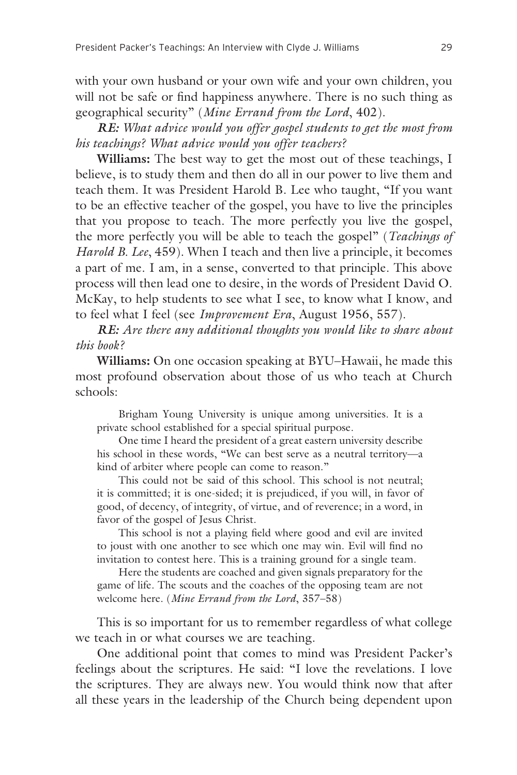with your own husband or your own wife and your own children, you will not be safe or find happiness anywhere. There is no such thing as geographical security" (*Mine Errand from the Lord*, 402).

*RE: What advice would you offer gospel students to get the most from his teachings? What advice would you offer teachers?* 

**Williams:** The best way to get the most out of these teachings, I believe, is to study them and then do all in our power to live them and teach them. It was President Harold B. Lee who taught, "If you want to be an effective teacher of the gospel, you have to live the principles that you propose to teach. The more perfectly you live the gospel, the more perfectly you will be able to teach the gospel" (*Teachings of Harold B. Lee*, 459). When I teach and then live a principle, it becomes a part of me. I am, in a sense, converted to that principle. This above process will then lead one to desire, in the words of President David O. McKay, to help students to see what I see, to know what I know, and to feel what I feel (see *Improvement Era*, August 1956, 557).

*RE: Are there any additional thoughts you would like to share about this book?* 

**Williams:** On one occasion speaking at BYU–Hawaii, he made this most profound observation about those of us who teach at Church schools:

Brigham Young University is unique among universities. It is a private school established for a special spiritual purpose.

One time I heard the president of a great eastern university describe his school in these words, "We can best serve as a neutral territory—a kind of arbiter where people can come to reason."

This could not be said of this school. This school is not neutral; it is committed; it is one-sided; it is prejudiced, if you will, in favor of good, of decency, of integrity, of virtue, and of reverence; in a word, in favor of the gospel of Jesus Christ.

This school is not a playing field where good and evil are invited to joust with one another to see which one may win. Evil will find no invitation to contest here. This is a training ground for a single team.

Here the students are coached and given signals preparatory for the game of life. The scouts and the coaches of the opposing team are not welcome here. (*Mine Errand from the Lord*, 357–58)

This is so important for us to remember regardless of what college we teach in or what courses we are teaching.

One additional point that comes to mind was President Packer's feelings about the scriptures. He said: "I love the revelations. I love the scriptures. They are always new. You would think now that after all these years in the leadership of the Church being dependent upon